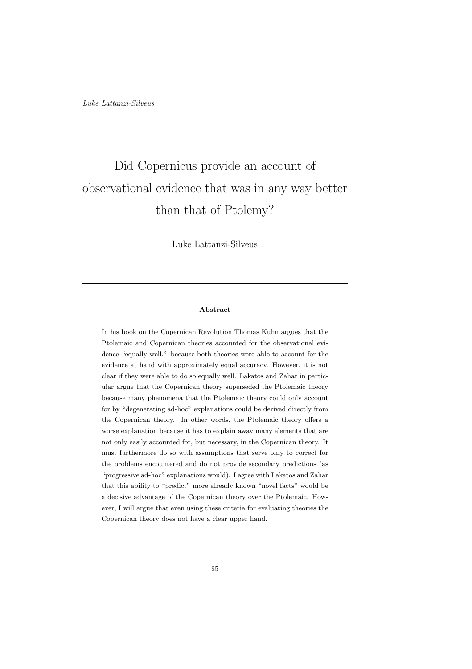# Did Copernicus provide an account of observational evidence that was in any way better than that of Ptolemy?

Luke Lattanzi-Silveus

### Abstract

In his book on the Copernican Revolution Thomas Kuhn argues that the Ptolemaic and Copernican theories accounted for the observational evidence "equally well." because both theories were able to account for the evidence at hand with approximately equal accuracy. However, it is not clear if they were able to do so equally well. Lakatos and Zahar in particular argue that the Copernican theory superseded the Ptolemaic theory because many phenomena that the Ptolemaic theory could only account for by "degenerating ad-hoc" explanations could be derived directly from the Copernican theory. In other words, the Ptolemaic theory offers a worse explanation because it has to explain away many elements that are not only easily accounted for, but necessary, in the Copernican theory. It must furthermore do so with assumptions that serve only to correct for the problems encountered and do not provide secondary predictions (as "progressive ad-hoc" explanations would). I agree with Lakatos and Zahar that this ability to "predict" more already known "novel facts" would be a decisive advantage of the Copernican theory over the Ptolemaic. However, I will argue that even using these criteria for evaluating theories the Copernican theory does not have a clear upper hand.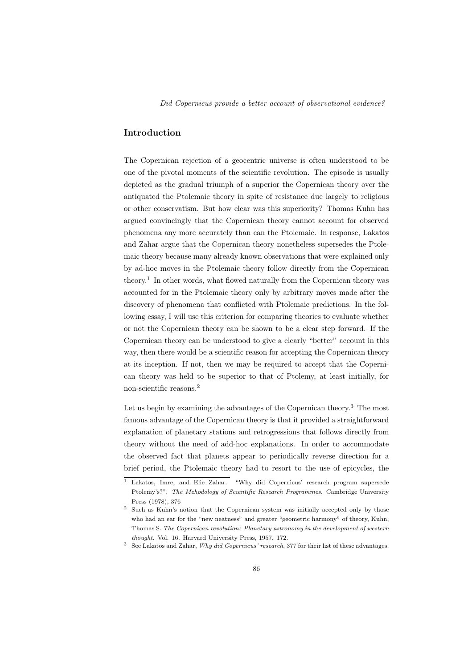# Introduction

The Copernican rejection of a geocentric universe is often understood to be one of the pivotal moments of the scientific revolution. The episode is usually depicted as the gradual triumph of a superior the Copernican theory over the antiquated the Ptolemaic theory in spite of resistance due largely to religious or other conservatism. But how clear was this superiority? Thomas Kuhn has argued convincingly that the Copernican theory cannot account for observed phenomena any more accurately than can the Ptolemaic. In response, Lakatos and Zahar argue that the Copernican theory nonetheless supersedes the Ptolemaic theory because many already known observations that were explained only by ad-hoc moves in the Ptolemaic theory follow directly from the Copernican theory.<sup>1</sup> In other words, what flowed naturally from the Copernican theory was accounted for in the Ptolemaic theory only by arbitrary moves made after the discovery of phenomena that conflicted with Ptolemaic predictions. In the following essay, I will use this criterion for comparing theories to evaluate whether or not the Copernican theory can be shown to be a clear step forward. If the Copernican theory can be understood to give a clearly "better" account in this way, then there would be a scientific reason for accepting the Copernican theory at its inception. If not, then we may be required to accept that the Copernican theory was held to be superior to that of Ptolemy, at least initially, for non-scientific reasons.<sup>2</sup>

Let us begin by examining the advantages of the Copernican theory.<sup>3</sup> The most famous advantage of the Copernican theory is that it provided a straightforward explanation of planetary stations and retrogressions that follows directly from theory without the need of add-hoc explanations. In order to accommodate the observed fact that planets appear to periodically reverse direction for a brief period, the Ptolemaic theory had to resort to the use of epicycles, the

<sup>&</sup>lt;sup>1</sup> Lakatos, Imre, and Elie Zahar. "Why did Copernicus' research program supersede Ptolemy's?". The Mehodology of Scientific Research Programmes. Cambridge University Press (1978), 376

<sup>2</sup> Such as Kuhn's notion that the Copernican system was initially accepted only by those who had an ear for the "new neatness" and greater "geometric harmony" of theory, Kuhn, Thomas S. The Copernican revolution: Planetary astronomy in the development of western thought. Vol. 16. Harvard University Press, 1957. 172.

<sup>3</sup> See Lakatos and Zahar, Why did Copernicus' research, 377 for their list of these advantages.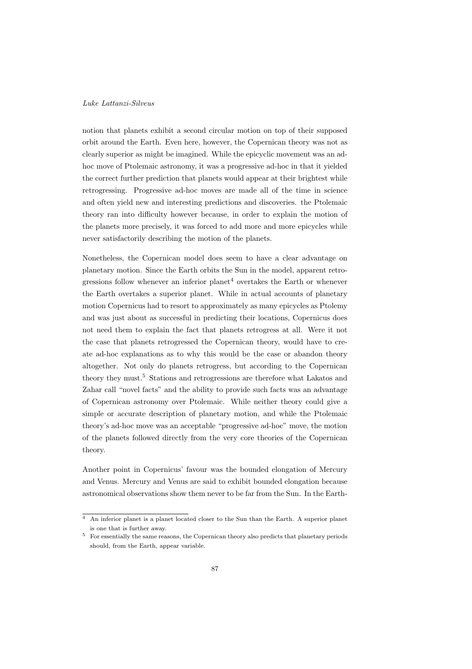notion that planets exhibit a second circular motion on top of their supposed orbit around the Earth. Even here, however, the Copernican theory was not as clearly superior as might be imagined. While the epicyclic movement was an adhoc move of Ptolemaic astronomy, it was a progressive ad-hoc in that it yielded the correct further prediction that planets would appear at their brightest while retrogressing. Progressive ad-hoc moves are made all of the time in science and often yield new and interesting predictions and discoveries. the Ptolemaic theory ran into difficulty however because, in order to explain the motion of the planets more precisely, it was forced to add more and more epicycles while never satisfactorily describing the motion of the planets.

Nonetheless, the Copernican model does seem to have a clear advantage on planetary motion. Since the Earth orbits the Sun in the model, apparent retrogressions follow whenever an inferior planet<sup>4</sup> overtakes the Earth or whenever the Earth overtakes a superior planet. While in actual accounts of planetary motion Copernicus had to resort to approximately as many epicycles as Ptolemy and was just about as successful in predicting their locations, Copernicus does not need them to explain the fact that planets retrogress at all. Were it not the case that planets retrogressed the Copernican theory, would have to create ad-hoc explanations as to why this would be the case or abandon theory altogether. Not only do planets retrogress, but according to the Copernican theory they must.<sup>5</sup> Stations and retrogressions are therefore what Lakatos and Zahar call "novel facts" and the ability to provide such facts was an advantage of Copernican astronomy over Ptolemaic. While neither theory could give a simple or accurate description of planetary motion, and while the Ptolemaic theory's ad-hoc move was an acceptable "progressive ad-hoc" move, the motion of the planets followed directly from the very core theories of the Copernican theory.

Another point in Copernicus' favour was the bounded elongation of Mercury and Venus. Mercury and Venus are said to exhibit bounded elongation because astronomical observations show them never to be far from the Sun. In the Earth-

 $\overline{4}$  An inferior planet is a planet located closer to the Sun than the Earth. A superior planet is one that is further away.

<sup>5</sup> For essentially the same reasons, the Copernican theory also predicts that planetary periods should, from the Earth, appear variable.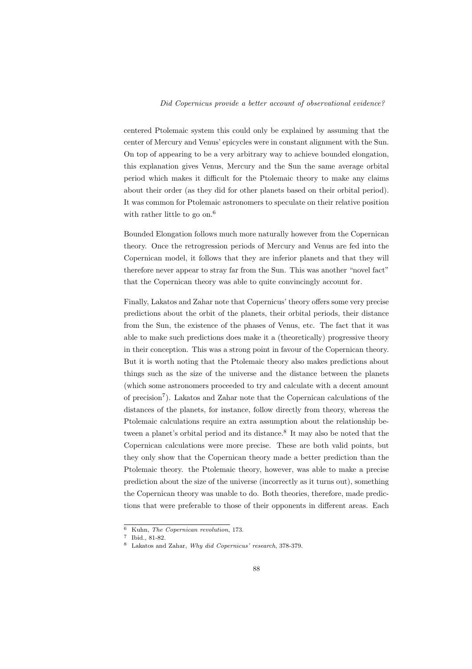centered Ptolemaic system this could only be explained by assuming that the center of Mercury and Venus' epicycles were in constant alignment with the Sun. On top of appearing to be a very arbitrary way to achieve bounded elongation, this explanation gives Venus, Mercury and the Sun the same average orbital period which makes it difficult for the Ptolemaic theory to make any claims about their order (as they did for other planets based on their orbital period). It was common for Ptolemaic astronomers to speculate on their relative position with rather little to go on.<sup>6</sup>

Bounded Elongation follows much more naturally however from the Copernican theory. Once the retrogression periods of Mercury and Venus are fed into the Copernican model, it follows that they are inferior planets and that they will therefore never appear to stray far from the Sun. This was another "novel fact" that the Copernican theory was able to quite convincingly account for.

Finally, Lakatos and Zahar note that Copernicus' theory offers some very precise predictions about the orbit of the planets, their orbital periods, their distance from the Sun, the existence of the phases of Venus, etc. The fact that it was able to make such predictions does make it a (theoretically) progressive theory in their conception. This was a strong point in favour of the Copernican theory. But it is worth noting that the Ptolemaic theory also makes predictions about things such as the size of the universe and the distance between the planets (which some astronomers proceeded to try and calculate with a decent amount of precision<sup>7</sup>). Lakatos and Zahar note that the Copernican calculations of the distances of the planets, for instance, follow directly from theory, whereas the Ptolemaic calculations require an extra assumption about the relationship between a planet's orbital period and its distance.<sup>8</sup> It may also be noted that the Copernican calculations were more precise. These are both valid points, but they only show that the Copernican theory made a better prediction than the Ptolemaic theory. the Ptolemaic theory, however, was able to make a precise prediction about the size of the universe (incorrectly as it turns out), something the Copernican theory was unable to do. Both theories, therefore, made predictions that were preferable to those of their opponents in different areas. Each

<sup>6</sup> Kuhn, The Copernican revolution, 173.

<sup>7</sup> Ibid., 81-82.

<sup>8</sup> Lakatos and Zahar, Why did Copernicus' research, 378-379.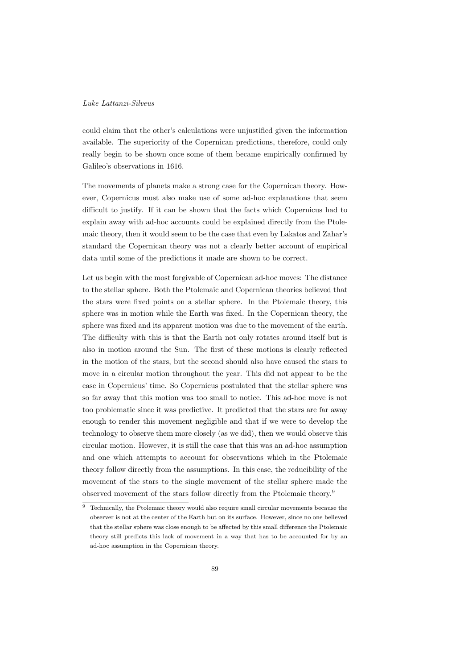could claim that the other's calculations were unjustified given the information available. The superiority of the Copernican predictions, therefore, could only really begin to be shown once some of them became empirically confirmed by Galileo's observations in 1616.

The movements of planets make a strong case for the Copernican theory. However, Copernicus must also make use of some ad-hoc explanations that seem difficult to justify. If it can be shown that the facts which Copernicus had to explain away with ad-hoc accounts could be explained directly from the Ptolemaic theory, then it would seem to be the case that even by Lakatos and Zahar's standard the Copernican theory was not a clearly better account of empirical data until some of the predictions it made are shown to be correct.

Let us begin with the most forgivable of Copernican ad-hoc moves: The distance to the stellar sphere. Both the Ptolemaic and Copernican theories believed that the stars were fixed points on a stellar sphere. In the Ptolemaic theory, this sphere was in motion while the Earth was fixed. In the Copernican theory, the sphere was fixed and its apparent motion was due to the movement of the earth. The difficulty with this is that the Earth not only rotates around itself but is also in motion around the Sun. The first of these motions is clearly reflected in the motion of the stars, but the second should also have caused the stars to move in a circular motion throughout the year. This did not appear to be the case in Copernicus' time. So Copernicus postulated that the stellar sphere was so far away that this motion was too small to notice. This ad-hoc move is not too problematic since it was predictive. It predicted that the stars are far away enough to render this movement negligible and that if we were to develop the technology to observe them more closely (as we did), then we would observe this circular motion. However, it is still the case that this was an ad-hoc assumption and one which attempts to account for observations which in the Ptolemaic theory follow directly from the assumptions. In this case, the reducibility of the movement of the stars to the single movement of the stellar sphere made the observed movement of the stars follow directly from the Ptolemaic theory.<sup>9</sup>

 $\overline{9}$  Technically, the Ptolemaic theory would also require small circular movements because the observer is not at the center of the Earth but on its surface. However, since no one believed that the stellar sphere was close enough to be affected by this small difference the Ptolemaic theory still predicts this lack of movement in a way that has to be accounted for by an ad-hoc assumption in the Copernican theory.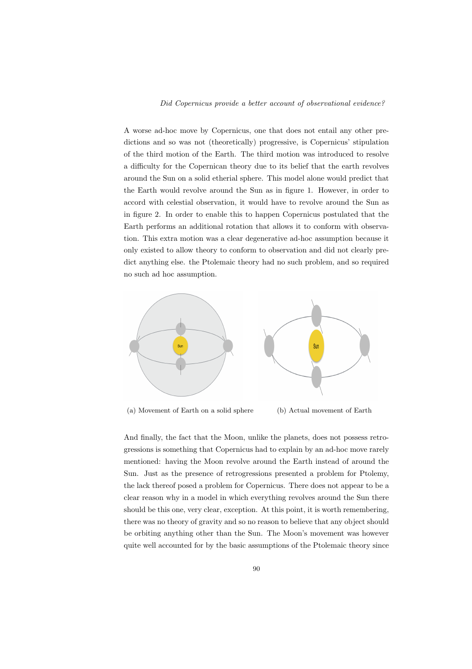A worse ad-hoc move by Copernicus, one that does not entail any other predictions and so was not (theoretically) progressive, is Copernicus' stipulation of the third motion of the Earth. The third motion was introduced to resolve a difficulty for the Copernican theory due to its belief that the earth revolves around the Sun on a solid etherial sphere. This model alone would predict that the Earth would revolve around the Sun as in figure 1. However, in order to accord with celestial observation, it would have to revolve around the Sun as in figure 2. In order to enable this to happen Copernicus postulated that the Earth performs an additional rotation that allows it to conform with observation. This extra motion was a clear degenerative ad-hoc assumption because it only existed to allow theory to conform to observation and did not clearly predict anything else. the Ptolemaic theory had no such problem, and so required no such ad hoc assumption.



(a) Movement of Earth on a solid sphere (b) Actual movement of Earth

And finally, the fact that the Moon, unlike the planets, does not possess retrogressions is something that Copernicus had to explain by an ad-hoc move rarely mentioned: having the Moon revolve around the Earth instead of around the Sun. Just as the presence of retrogressions presented a problem for Ptolemy, the lack thereof posed a problem for Copernicus. There does not appear to be a clear reason why in a model in which everything revolves around the Sun there should be this one, very clear, exception. At this point, it is worth remembering, there was no theory of gravity and so no reason to believe that any object should be orbiting anything other than the Sun. The Moon's movement was however quite well accounted for by the basic assumptions of the Ptolemaic theory since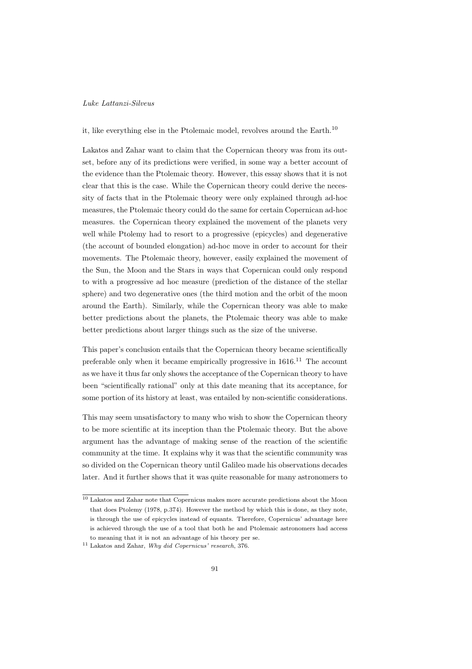# it, like everything else in the Ptolemaic model, revolves around the Earth.<sup>10</sup>

Lakatos and Zahar want to claim that the Copernican theory was from its outset, before any of its predictions were verified, in some way a better account of the evidence than the Ptolemaic theory. However, this essay shows that it is not clear that this is the case. While the Copernican theory could derive the necessity of facts that in the Ptolemaic theory were only explained through ad-hoc measures, the Ptolemaic theory could do the same for certain Copernican ad-hoc measures. the Copernican theory explained the movement of the planets very well while Ptolemy had to resort to a progressive (epicycles) and degenerative (the account of bounded elongation) ad-hoc move in order to account for their movements. The Ptolemaic theory, however, easily explained the movement of the Sun, the Moon and the Stars in ways that Copernican could only respond to with a progressive ad hoc measure (prediction of the distance of the stellar sphere) and two degenerative ones (the third motion and the orbit of the moon around the Earth). Similarly, while the Copernican theory was able to make better predictions about the planets, the Ptolemaic theory was able to make better predictions about larger things such as the size of the universe.

This paper's conclusion entails that the Copernican theory became scientifically preferable only when it became empirically progressive in  $1616$ .<sup>11</sup> The account as we have it thus far only shows the acceptance of the Copernican theory to have been "scientifically rational" only at this date meaning that its acceptance, for some portion of its history at least, was entailed by non-scientific considerations.

This may seem unsatisfactory to many who wish to show the Copernican theory to be more scientific at its inception than the Ptolemaic theory. But the above argument has the advantage of making sense of the reaction of the scientific community at the time. It explains why it was that the scientific community was so divided on the Copernican theory until Galileo made his observations decades later. And it further shows that it was quite reasonable for many astronomers to

<sup>10</sup> Lakatos and Zahar note that Copernicus makes more accurate predictions about the Moon that does Ptolemy (1978, p.374). However the method by which this is done, as they note, is through the use of epicycles instead of equants. Therefore, Copernicus' advantage here is achieved through the use of a tool that both he and Ptolemaic astronomers had access to meaning that it is not an advantage of his theory per se.

<sup>11</sup> Lakatos and Zahar, Why did Copernicus' research, 376.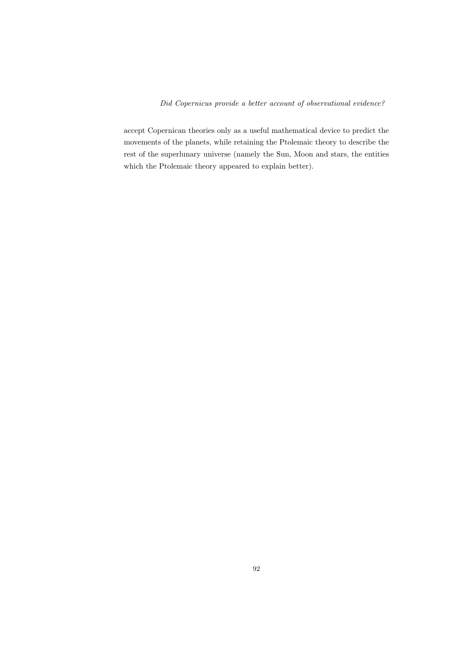accept Copernican theories only as a useful mathematical device to predict the movements of the planets, while retaining the Ptolemaic theory to describe the rest of the superlunary universe (namely the Sun, Moon and stars, the entities which the Ptolemaic theory appeared to explain better).